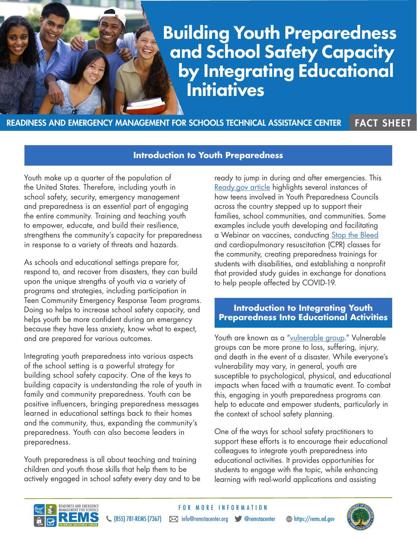# Building Youth Preparedness and School Safety Capacity by Integrating Educational **Initiatives**

READINESS AND EMERGENCY MANAGEMENT FOR SCHOOLS TECHNICAL ASSISTANCE CENTER FACT SHEET

**Introduction to Youth Preparedness**

FOR MORE INFORMATION

Youth make up a quarter of the population of the United States. Therefore, including youth in school safety, security, emergency management and preparedness is an essential part of engaging the entire community. Training and teaching youth to empower, educate, and build their resilience, strengthens the community's capacity for preparedness in response to a variety of threats and hazards.

As schools and educational settings prepare for, respond to, and recover from disasters, they can build upon the unique strengths of youth via a variety of programs and strategies, including participation in Teen Community Emergency Response Team programs. Doing so helps to increase school safety capacity, and helps youth be more confident during an emergency because they have less anxiety, know what to expect, and are prepared for various outcomes.

Integrating youth preparedness into various aspects of the school setting is a powerful strategy for building school safety capacity. One of the keys to building capacity is understanding the role of youth in family and community preparedness. Youth can be positive influencers, bringing preparedness messages learned in educational settings back to their homes and the community, thus, expanding the community's preparedness. Youth can also become leaders in preparedness.

Youth preparedness is all about teaching and training children and youth those skills that help them to be actively engaged in school safety every day and to be ready to jump in during and after emergencies. This [Ready.gov article](https://community.fema.gov/story/Youth-Respond-to-COVID-19-Pandemic?lang=en_US) highlights several instances of how teens involved in Youth Preparedness Councils across the country stepped up to support their families, school communities, and communities. Some examples include youth developing and facilitating a Webinar on vaccines, conducting [Stop the Bleed](https://www.dhs.gov/stopthebleed) and cardiopulmonary resuscitation (CPR) classes for the community, creating preparedness trainings for students with disabilities, and establishing a nonprofit that provided study guides in exchange for donations to help people affected by COVID-19.

## **Introduction to Integrating Youth Preparedness Into Educational Activities**

Youth are known as a ["vulnerable group.](https://www.ready.gov/sites/default/files/2019-06/fema_icpd_national_strategy.pdf)" Vulnerable groups can be more prone to loss, suffering, injury, and death in the event of a disaster. While everyone's vulnerability may vary, in general, youth are susceptible to psychological, physical, and educational impacts when faced with a traumatic event. To combat this, engaging in youth preparedness programs can help to educate and empower students, particularly in the context of school safety planning.

One of the ways for school safety practitioners to support these efforts is to encourage their educational colleagues to integrate youth preparedness into educational activities. It provides opportunities for students to engage with the topic, while enhancing learning with real-world applications and assisting



 $\zeta$  (855) 781-REMS (7367)  $\bowtie$  info@remstacenter.org  $\blacktriangledown$  @remstacenter  $\textcircled{\tiny{\textsf{th}}}\text{https://rems.edu.gov)}$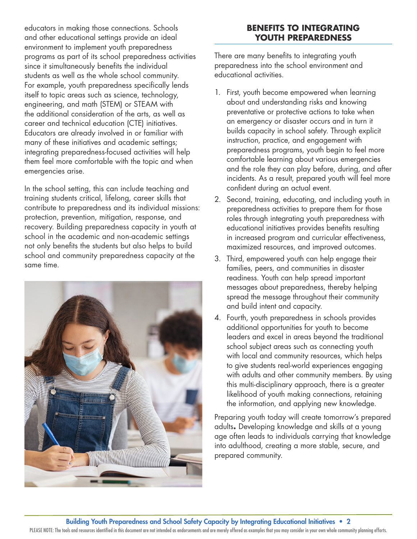educators in making those connections. Schools and other educational settings provide an ideal environment to implement youth preparedness programs as part of its school preparedness activities since it simultaneously benefits the individual students as well as the whole school community. For example, youth preparedness specifically lends itself to topic areas such as science, technology, engineering, and math (STEM) or STEAM with the additional consideration of the arts, as well as career and technical education (CTE) initiatives. Educators are already involved in or familiar with many of these initiatives and academic settings; integrating preparedness-focused activities will help them feel more comfortable with the topic and when emergencies arise.

In the school setting, this can include teaching and training students critical, lifelong, career skills that contribute to preparedness and its individual missions: protection, prevention, mitigation, response, and recovery. Building preparedness capacity in youth at school in the academic and non-academic settings not only benefits the students but also helps to build school and community preparedness capacity at the same time.



## **BENEFITS TO INTEGRATING YOUTH PREPAREDNESS**

There are many benefits to integrating youth preparedness into the school environment and educational activities.

- 1. First, youth become empowered when learning about and understanding risks and knowing preventative or protective actions to take when an emergency or disaster occurs and in turn it builds capacity in school safety. Through explicit instruction, practice, and engagement with preparedness programs, youth begin to feel more comfortable learning about various emergencies and the role they can play before, during, and after incidents. As a result, prepared youth will feel more confident during an actual event.
- 2. Second, training, educating, and including youth in preparedness activities to prepare them for those roles through integrating youth preparedness with educational initiatives provides benefits resulting in increased program and curricular effectiveness, maximized resources, and improved outcomes.
- 3. Third, empowered youth can help engage their families, peers, and communities in disaster readiness. Youth can help spread important messages about preparedness, thereby helping spread the message throughout their community and build intent and capacity.
- 4. Fourth, youth preparedness in schools provides additional opportunities for youth to become leaders and excel in areas beyond the traditional school subject areas such as connecting youth with local and community resources, which helps to give students real-world experiences engaging with adults and other community members. By using this multi-disciplinary approach, there is a greater likelihood of youth making connections, retaining the information, and applying new knowledge.

Preparing youth today will create tomorrow's prepared adults**.** Developing knowledge and skills at a young age often leads to individuals carrying that knowledge into adulthood, creating a more stable, secure, and prepared community.

Building Youth Preparedness and School Safety Capacity by Integrating Educational Initiatives • 2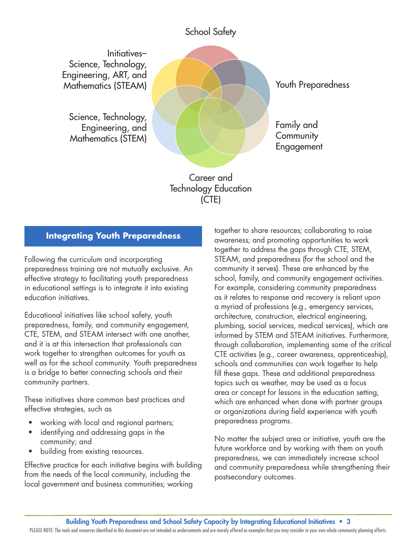## **School Safety**

Initiatives-Science, Technology, Engineering, ART, and Mathematics (STEAM)

Science, Technology, Engineering, and **Mathematics (STEM)** 



Youth Preparedness

Family and Community Engagement

Career and **Technology Education** (CTE)

## **Integrating Youth Preparedness**

Following the curriculum and incorporating preparedness training are not mutually exclusive. An effective strategy to facilitating youth preparedness in educational settings is to integrate it into existing education initiatives.

Educational initiatives like school safety, youth preparedness, family, and community engagement, CTE, STEM, and STEAM intersect with one another, and it is at this intersection that professionals can work together to strengthen outcomes for youth as well as for the school community. Youth preparedness is a bridge to better connecting schools and their community partners.

These initiatives share common best practices and effective strategies, such as

- working with local and regional partners;
- identifying and addressing gaps in the community; and
- building from existing resources.

Effective practice for each initiative begins with building from the needs of the local community, including the local government and business communities; working

together to share resources; collaborating to raise awareness; and promoting opportunities to work together to address the gaps through CTE, STEM, STEAM, and preparedness (for the school and the community it serves). These are enhanced by the school, family, and community engagement activities. For example, considering community preparedness as it relates to response and recovery is reliant upon a myriad of professions (e.g., emergency services, architecture, construction, electrical engineering, plumbing, social services, medical services), which are informed by STEM and STEAM initiatives. Furthermore, through collaboration, implementing some of the critical CTE activities (e.g., career awareness, apprenticeship), schools and communities can work together to help fill these gaps. These and additional preparedness topics such as weather, may be used as a focus area or concept for lessons in the education setting, which are enhanced when done with partner groups or organizations during field experience with youth preparedness programs.

No matter the subject area or initiative, youth are the future workforce and by working with them on youth preparedness, we can immediately increase school and community preparedness while strengthening their postsecondary outcomes.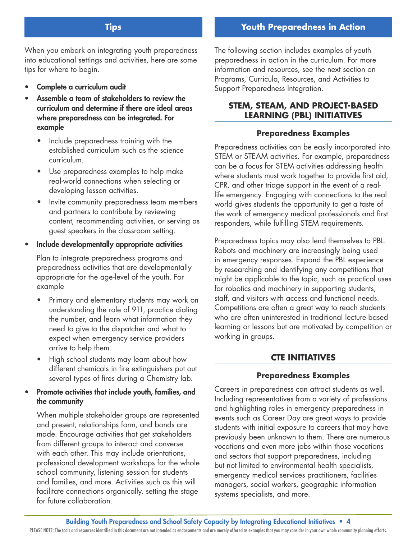## **Youth Preparedness in Action**

## **Tips**

When you embark on integrating youth preparedness into educational settings and activities, here are some tips for where to begin.

- Complete a curriculum audit
- Assemble a team of stakeholders to review the curriculum and determine if there are ideal areas where preparedness can be integrated. For example
	- Include preparedness training with the established curriculum such as the science curriculum.
	- Use preparedness examples to help make real-world connections when selecting or developing lesson activities.
	- Invite community preparedness team members and partners to contribute by reviewing content, recommending activities, or serving as guest speakers in the classroom setting.

#### • Include developmentally appropriate activities

Plan to integrate preparedness programs and preparedness activities that are developmentally appropriate for the age-level of the youth. For example

- Primary and elementary students may work on understanding the role of 911, practice dialing the number, and learn what information they need to give to the dispatcher and what to expect when emergency service providers arrive to help them.
- High school students may learn about how different chemicals in fire extinguishers put out several types of fires during a Chemistry lab.

## • Promote activities that include youth, families, and the community

When multiple stakeholder groups are represented and present, relationships form, and bonds are made. Encourage activities that get stakeholders from different groups to interact and converse with each other. This may include orientations, professional development workshops for the whole school community, listening session for students and families, and more. Activities such as this will facilitate connections organically, setting the stage for future collaboration.

The following section includes examples of youth preparedness in action in the curriculum. For more information and resources, see the next section on Programs, Curricula, Resources, and Activities to Support Preparedness Integration.

## **STEM, STEAM, AND PROJECT-BASED LEARNING (PBL) INITIATIVES**

#### **Preparedness Examples**

Preparedness activities can be easily incorporated into STEM or STEAM activities. For example, preparedness can be a focus for STEM activities addressing health where students must work together to provide first aid, CPR, and other triage support in the event of a reallife emergency. Engaging with connections to the real world gives students the opportunity to get a taste of the work of emergency medical professionals and first responders, while fulfilling STEM requirements.

Preparedness topics may also lend themselves to PBL. Robots and machinery are increasingly being used in emergency responses. Expand the PBL experience by researching and identifying any competitions that might be applicable to the topic, such as practical uses for robotics and machinery in supporting students, staff, and visitors with access and functional needs. Competitions are often a great way to reach students who are often uninterested in traditional lecture-based learning or lessons but are motivated by competition or working in groups.

#### **CTE INITIATIVES**

#### **Preparedness Examples**

Careers in preparedness can attract students as well. Including representatives from a variety of professions and highlighting roles in emergency preparedness in events such as Career Day are great ways to provide students with initial exposure to careers that may have previously been unknown to them. There are numerous vocations and even more jobs within those vocations and sectors that support preparedness, including but not limited to environmental health specialists, emergency medical services practitioners, facilities managers, social workers, geographic information systems specialists, and more.

Building Youth Preparedness and School Safety Capacity by Integrating Educational Initiatives • 4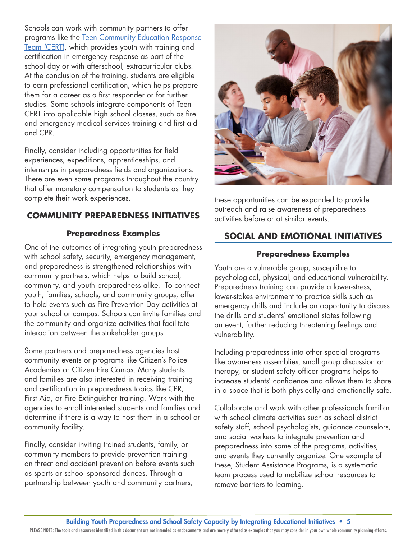Schools can work with community partners to offer programs like the [Teen Community Education Response](https://www.ready.gov/kids/teen-cert)  [Team \(CERT\),](https://www.ready.gov/kids/teen-cert) which provides youth with training and certification in emergency response as part of the school day or with afterschool, extracurricular clubs. At the conclusion of the training, students are eligible to earn professional certification, which helps prepare them for a career as a first responder or for further studies. Some schools integrate components of Teen CERT into applicable high school classes, such as fire and emergency medical services training and first aid and CPR.

Finally, consider including opportunities for field experiences, expeditions, apprenticeships, and internships in preparedness fields and organizations. There are even some programs throughout the country that offer monetary compensation to students as they complete their work experiences.

## **COMMUNITY PREPAREDNESS INITIATIVES**

## **Preparedness Examples**

One of the outcomes of integrating youth preparedness with school safety, security, emergency management, and preparedness is strengthened relationships with community partners, which helps to build school, community, and youth preparedness alike. To connect youth, families, schools, and community groups, offer to hold events such as Fire Prevention Day activities at your school or campus. Schools can invite families and the community and organize activities that facilitate interaction between the stakeholder groups.

Some partners and preparedness agencies host community events or programs like Citizen's Police Academies or Citizen Fire Camps. Many students and families are also interested in receiving training and certification in preparedness topics like CPR, First Aid, or Fire Extinguisher training. Work with the agencies to enroll interested students and families and determine if there is a way to host them in a school or community facility.

Finally, consider inviting trained students, family, or community members to provide prevention training on threat and accident prevention before events such as sports or school-sponsored dances. Through a partnership between youth and community partners,



these opportunities can be expanded to provide outreach and raise awareness of preparedness activities before or at similar events.

## **SOCIAL AND EMOTIONAL INITIATIVES**

#### **Preparedness Examples**

Youth are a vulnerable group, susceptible to psychological, physical, and educational vulnerability. Preparedness training can provide a lower-stress, lower-stakes environment to practice skills such as emergency drills and include an opportunity to discuss the drills and students' emotional states following an event, further reducing threatening feelings and vulnerability.

Including preparedness into other special programs like awareness assemblies, small group discussion or therapy, or student safety officer programs helps to increase students' confidence and allows them to share in a space that is both physically and emotionally safe.

Collaborate and work with other professionals familiar with school climate activities such as school district safety staff, school psychologists, guidance counselors, and social workers to integrate prevention and preparedness into some of the programs, activities, and events they currently organize. One example of these, Student Assistance Programs, is a systematic team process used to mobilize school resources to remove barriers to learning.

#### Building Youth Preparedness and School Safety Capacity by Integrating Educational Initiatives • 5